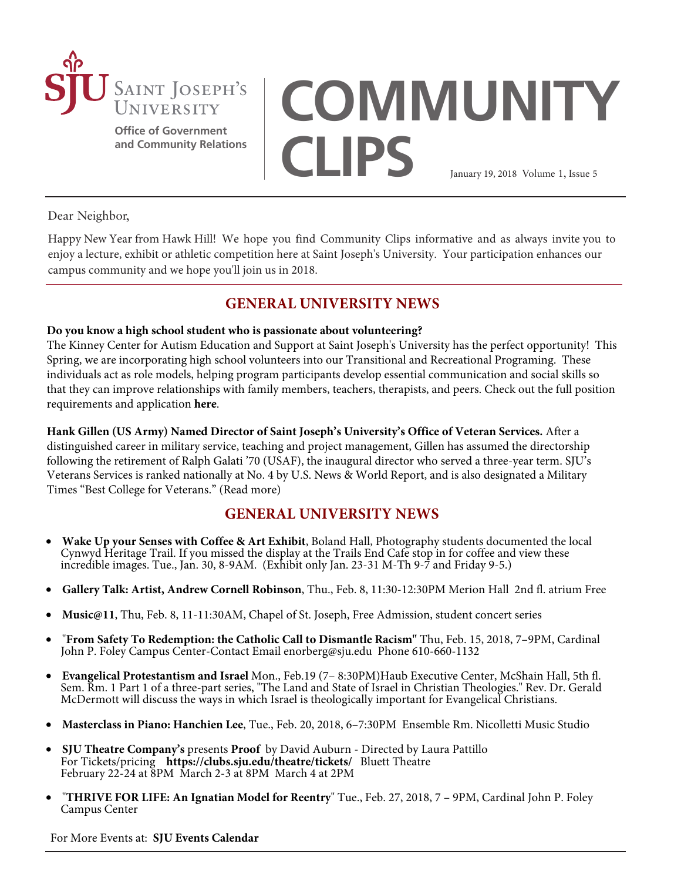

**Office of Government and Community Relations**

# **COMMUNITY CLIPS** January 19, 2018 Volume 1, Issue 5

Dear Neighbor,

Happy New Year from Hawk Hill! We hope you find Community Clips informative and as always invite you to enjoy a lecture, exhibit or athletic competition here at Saint Joseph's University. Your participation enhances our campus community and we hope you'll join us in 2018.

## **GENERAL UNIVERSITY NEWS**

#### **Do you know a high school student who is passionate about volunteering?**

The Kinney Center for Autism Education and Support at Saint Joseph's University has the perfect opportunity! This Spring, we are incorporating high school volunteers into our Transitional and Recreational Programing. These individuals act as role models, helping program participants develop essential communication and social skills so that they can improve relationships with family members, teachers, therapists, and peers. Check out the full position requirements and application **[here](http://kinneyautism.sju.edu/s/1378/kinney/interior-hybrid.aspx?sid=1378&gid=56&pgid=2640)**.

**Hank Gillen (US Army) Named Director of Saint Joseph's University's Office of Veteran Services.** After a distinguished career in military service, teaching and project management, Gillen has assumed the directorship following the retirement of Ralph Galati '70 (USAF), the inaugural director who served a three-year term. SJU's Veterans Services is ranked nationally at No. 4 by U.S. News & World Report, and is also designated a Military Times "Best College for Veterans." ([Read more\)](https://www.sju.edu/news-events/news/hank-gillen-named-director-saint-josephs-universitys-office-veteran-services)

## **GENERAL UNIVERSITY NEWS**

- **[Wake Up your Senses with Coffee & Art Exhibit](https://sites.sju.edu/gallery/)**, Boland Hall, Photography students documented the local Cynwyd Heritage Trail. If you missed the display at the Trails End Cafe stop in for coffee and view these incredible images. Tue., Jan. 30, 8-9AM. (Exhibit only Jan. 23-31 M-Th 9-7 and Friday 9-5.)
- **[Gallery Talk: Artist, Andrew Cornell Robinson](https://sites.sju.edu/gallery/)**, Thu., Feb. 8, 11:30-12:30PM Merion Hall 2nd fl. atrium Free
- **[Music@11](https://www.sju.edu/news-events/events)**, Thu, Feb. 8, 11-11:30AM, Chapel of St. Joseph, Free Admission, student concert series
- "**[From Safety To Redemption: the Catholic Call to Dismantle Racism"](https://www.sju.edu/news-events/events#/?i=2)** Thu, Feb. 15, 2018, 7–9PM, Cardinal John P. Foley Campus Center-Contact Email enorberg@sju.edu Phone 610-660-1132
- **[Evangelical Protestantism and Israel](https://sites.sju.edu/ijcr/2017/10/10/evangelical-protestantism-israel/)** Mon., Feb.19 (7– 8:30PM)Haub Executive Center, McShain Hall, 5th fl. Sem. Rm. 1 Part 1 of a three-part series, "The Land and State of Israel in Christian Theologies." Rev. Dr. Gerald McDermott will discuss the ways in which Israel is theologically important for Evangelical Christians.
- **[Masterclass in Piano: Hanchien Lee](https://www.sju.edu/news-events/events)**, Tue., Feb. 20, 2018, 6–7:30PM Ensemble Rm. Nicolletti Music Studio
- **[SJU Theatre Company's](https://clubs.sju.edu/theatre/this-season/)** presents **Proof** by David Auburn Directed by Laura Pattillo For Tickets/pricing **https://clubs.sju.edu/theatre/tickets/** Bluett Theatre February 22-24 at 8PM March 2-3 at 8PM March 4 at 2PM
- "**[THRIVE FOR LIFE: An Ignatian Model for Reentry](https://www.sju.edu/news-events/events#/?i=2)**" Tue., Feb. 27, 2018, 7 9PM, Cardinal John P. Foley Campus Center

For More Events at: **[SJU Events Calendar](https://www.sju.edu/news-events/events)**